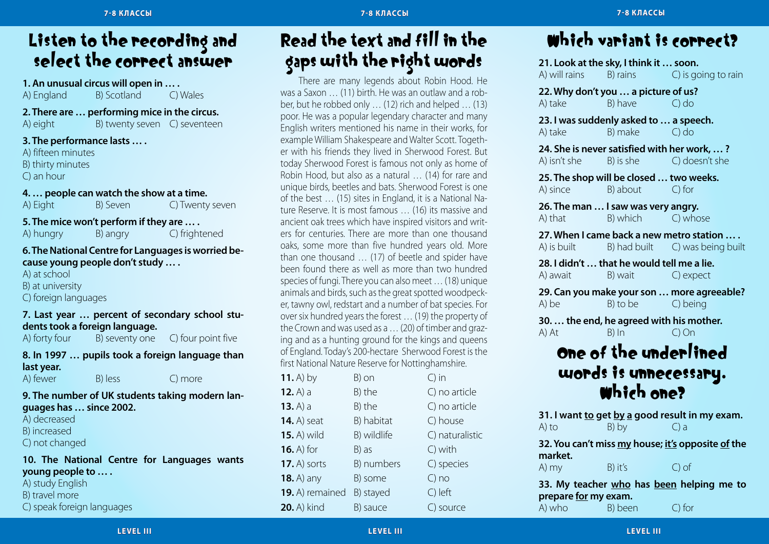### Listen to the recording and select the correct answer

**1. An unusual circus will open in … .**

| A) England | B) Scotland | C) Wales |
|------------|-------------|----------|
|------------|-------------|----------|

**2. There are … performing mice in the circus.**

| A) eight | B) twenty seven | C) seventeen |
|----------|-----------------|--------------|
|----------|-----------------|--------------|

**3. The performance lasts … .**

A) fifteen minutes B) thirty minutes C) an hour

**4. … people can watch the show at a time.** A) Eight B) Seven C) Twenty seven

**5. The mice won't perform if they are … .**

A) hungry B) angry C) frightened

#### **6. The National Centre for Languages is worried because young people don't study … .**

A) at school B) at university C) foreign languages

### **7. Last year … percent of secondary school students took a foreign language.**<br>A) forty four <br>B) seventy one

A) forty four  $\overline{B}$ ) seventy one  $\overline{C}$ ) four point five

#### **8. In 1997 … pupils took a foreign language than last year.**

A) fewer B) less C) more

#### **9. The number of UK students taking modern languages has … since 2002.**

A) decreased

- B) increased
- C) not changed

#### **10. The National Centre for Languages wants young people to … .**

A) study English

B) travel more

C) speak foreign languages

### Read the text and fill in the gaps with the right words

There are many legends about Robin Hood. He was a Saxon … (11) birth. He was an outlaw and a robber, but he robbed only … (12) rich and helped … (13) poor. He was a popular legendary character and many English writers mentioned his name in their works, for example William Shakespeare and Walter Scott. Together with his friends they lived in Sherwood Forest. But today Sherwood Forest is famous not only as home of Robin Hood, but also as a natural … (14) for rare and unique birds, beetles and bats. Sherwood Forest is one of the best … (15) sites in England, it is a National Nature Reserve. It is most famous … (16) its massive and ancient oak trees which have inspired visitors and writers for centuries. There are more than one thousand oaks, some more than five hundred years old. More than one thousand … (17) of beetle and spider have been found there as well as more than two hundred species of fungi. There you can also meet … (18) unique animals and birds, such as the great spotted woodpecker, tawny owl, redstart and a number of bat species. For over six hundred years the forest … (19) the property of the Crown and was used as a … (20) of timber and grazing and as a hunting ground for the kings and queens of England. Today's 200-hectare Sherwood Forest is the first National Nature Reserve for Nottinghamshire.

| $11.$ A) by        | B) on       | $\bigcirc$ in   |
|--------------------|-------------|-----------------|
| 12. $A) a$         | B) the      | C) no article   |
| $13. A$ ) a        | B) the      | C) no article   |
| <b>14.</b> A) seat | B) habitat  | C) house        |
| <b>15.</b> A) wild | B) wildlife | C) naturalistic |
| $16.$ A) for       | B) as       | C) with         |
| 17. A) sorts       | B) numbers  | C) species      |
| <b>18.</b> A) any  | B) some     | $C)$ no         |
| 19. A) remained    | B) stayed   | C) left         |
| <b>20.</b> A) kind | B) sauce    | C) source       |

### Which variant is correct?

**21. Look at the sky, I think it ... soon.**<br>A) will rains B) rains C) is go B) rains C) is going to rain **22. Why don't you … a picture of us?** A) take B) have C) do **23. I was suddenly asked to … a speech.** A) take B) make C) do **24. She is never satisfied with her work, … ?** A) isn't she B) is she C) doesn't she **25. The shop will be closed … two weeks.** A) since B) about C) for **26. The man … I saw was very angry.** A) that B) which C) whose **27. When I came back a new metro station … .** A) is built B) had built C) was being built **28. I didn't … that he would tell me a lie.** A) await B) wait C) expect **29. Can you make your son … more agreeable?** A) be B) to be C) being **30. … the end, he agreed with his mother.** A) At B) In C) On

## One of the underlined words is unnecessary. Which one?

**31. I want to get by a good result in my exam.** A) to  $B)$  by  $C)$  a

**32. You can't miss my house; it's opposite of the market.**

A) my B) it's C) of

**33. My teacher who has been helping me to prepare for my exam.** A) who B) been C) for